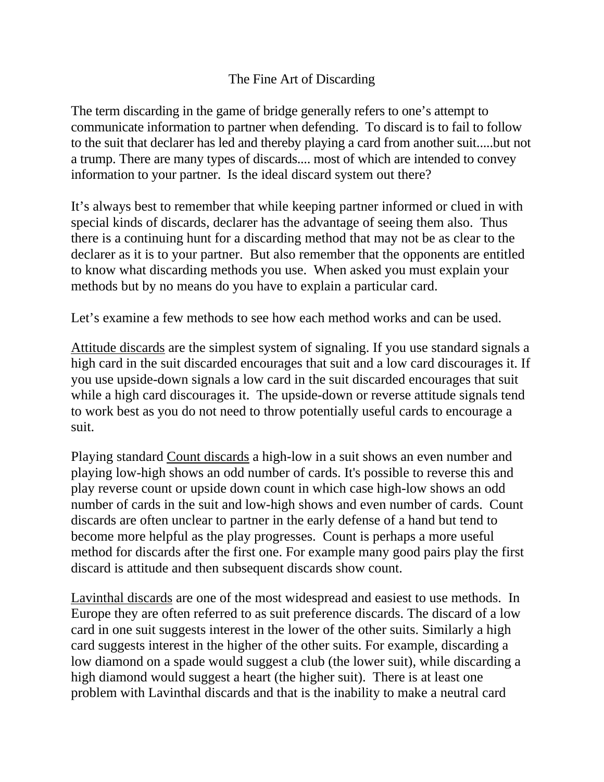## The Fine Art of Discarding

The term discarding in the game of bridge generally refers to one's attempt to communicate information to partner when defending. To discard is to fail to follow to the suit that declarer has led and thereby playing a card from another suit.....but not a trump. There are many types of discards.... most of which are intended to convey information to your partner. Is the ideal discard system out there?

It's always best to remember that while keeping partner informed or clued in with special kinds of discards, declarer has the advantage of seeing them also. Thus there is a continuing hunt for a discarding method that may not be as clear to the declarer as it is to your partner. But also remember that the opponents are entitled to know what discarding methods you use. When asked you must explain your methods but by no means do you have to explain a particular card.

Let's examine a few methods to see how each method works and can be used.

Attitude discards are the simplest system of signaling. If you use standard signals a high card in the suit discarded encourages that suit and a low card discourages it. If you use upside-down signals a low card in the suit discarded encourages that suit while a high card discourages it. The upside-down or reverse attitude signals tend to work best as you do not need to throw potentially useful cards to encourage a suit.

Playing standard Count discards a high-low in a suit shows an even number and playing low-high shows an odd number of cards. It's possible to reverse this and play reverse count or upside down count in which case high-low shows an odd number of cards in the suit and low-high shows and even number of cards. Count discards are often unclear to partner in the early defense of a hand but tend to become more helpful as the play progresses. Count is perhaps a more useful method for discards after the first one. For example many good pairs play the first discard is attitude and then subsequent discards show count.

Lavinthal discards are one of the most widespread and easiest to use methods. In Europe they are often referred to as suit preference discards. The discard of a low card in one suit suggests interest in the lower of the other suits. Similarly a high card suggests interest in the higher of the other suits. For example, discarding a low diamond on a spade would suggest a club (the lower suit), while discarding a high diamond would suggest a heart (the higher suit). There is at least one problem with Lavinthal discards and that is the inability to make a neutral card